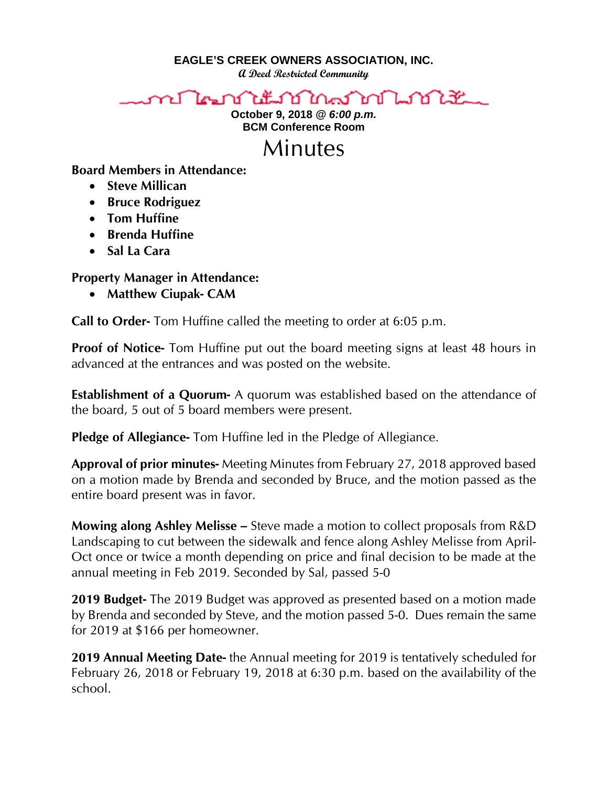**EAGLE'S CREEK OWNERS ASSOCIATION, INC.**

**A Deed Restricted Community**



**October 9, 2018** *@ 6:00 p.m.* **BCM Conference Room**

## Minutes

**Board Members in Attendance:** 

- **Steve Millican**
- **Bruce Rodriguez**
- **Tom Huffine**
- **Brenda Huffine**
- **Sal La Cara**

## **Property Manager in Attendance:**

• **Matthew Ciupak- CAM**

**Call to Order-** Tom Huffine called the meeting to order at 6:05 p.m.

**Proof of Notice-** Tom Huffine put out the board meeting signs at least 48 hours in advanced at the entrances and was posted on the website.

**Establishment of a Quorum-** A quorum was established based on the attendance of the board, 5 out of 5 board members were present.

**Pledge of Allegiance-** Tom Huffine led in the Pledge of Allegiance.

**Approval of prior minutes-** Meeting Minutes from February 27, 2018 approved based on a motion made by Brenda and seconded by Bruce, and the motion passed as the entire board present was in favor.

**Mowing along Ashley Melisse –** Steve made a motion to collect proposals from R&D Landscaping to cut between the sidewalk and fence along Ashley Melisse from April-Oct once or twice a month depending on price and final decision to be made at the annual meeting in Feb 2019. Seconded by Sal, passed 5-0

**2019 Budget-** The 2019 Budget was approved as presented based on a motion made by Brenda and seconded by Steve, and the motion passed 5-0. Dues remain the same for 2019 at \$166 per homeowner.

**2019 Annual Meeting Date-** the Annual meeting for 2019 is tentatively scheduled for February 26, 2018 or February 19, 2018 at 6:30 p.m. based on the availability of the school.